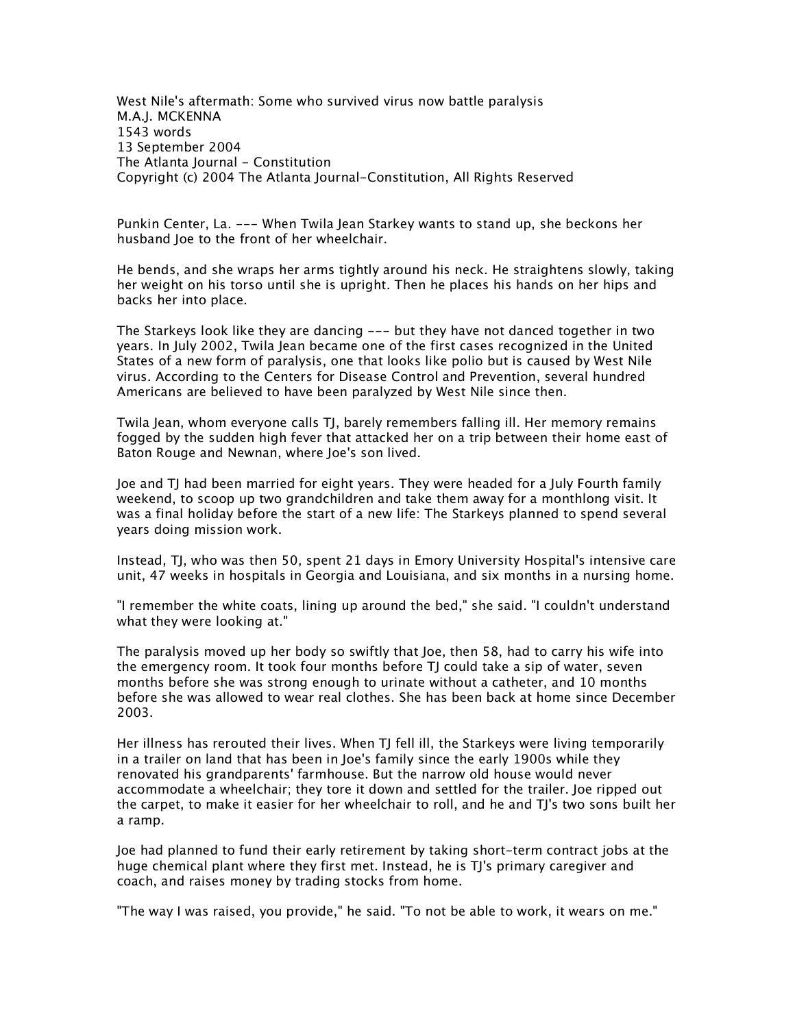*West Nile's aftermath: Some who survived virus now battle paralysis M.A.J. MCKENNA 1543 words 13 September 2004 The Atlanta Journal - Constitution Copyright (c) 2004 The Atlanta Journal-Constitution, All Rights Reserved*

*Punkin Center, La. --- When Twila Jean Starkey wants to stand up, she beckons her husband Joe to the front of her wheelchair.*

*He bends, and she wraps her arms tightly around his neck. He straightens slowly, taking her weight on his torso until she is upright. Then he places his hands on her hips and backs her into place.*

*The Starkeys look like they are dancing --- but they have not danced together in two years. In July 2002, Twila Jean became one of the first cases recognized in the United States of a new form of paralysis, one that looks like polio but is caused by West Nile virus. According to the Centers for Disease Control and Prevention, several hundred Americans are believed to have been paralyzed by West Nile since then.*

*Twila Jean, whom everyone calls TJ, barely remembers falling ill. Her memory remains*  fogged by the sudden high fever that attacked her on a trip between their home east of *Baton Rouge and Newnan, where Joe's son lived.*

*Joe and TJ had been married for eight years. They were headed for a July Fourth family weekend, to scoop up two grandchildren and take them away for a monthlong visit. It*  was a final holiday before the start of a new life: The Starkeys planned to spend several *years doing mission work.*

*Instead, TJ, who was then 50, spent 21 days in Emory University Hospital's intensive care unit, 47 weeks in hospitals in Georgia and Louisiana, and six months in a nursing home.*

*"I remember the white coats, lining up around the bed," she said. "I couldn't understand what they were looking at."*

*The paralysis moved up her body so swiftly that Joe, then 58, had to carry his wife into the emergency room. It took four months before TJ could take a sip of water, seven months before she was strong enough to urinate without a catheter, and 10 months before she was allowed to wear real clothes. She has been back at home since December 2003.*

*Her illness has rerouted their lives. When TJ fell ill, the Starkeys were living temporarily*  in a trailer on land that has been in Joe's family since the early 1900s while they *renovated his grandparents' farmhouse. But the narrow old house would never accommodate a wheelchair; they tore it down and settled for the trailer. Joe ripped out the carpet, to make it easier for her wheelchair to roll, and he and TJ's two sons built her a ramp.*

*Joe had planned to fund their early retirement by taking short-term contract jobs at the huge chemical plant where they first met. Instead, he is TJ's primary caregiver and coach, and raises money by trading stocks from home.*

*"The way I was raised, you provide," he said. "To not be able to work, it wears on me."*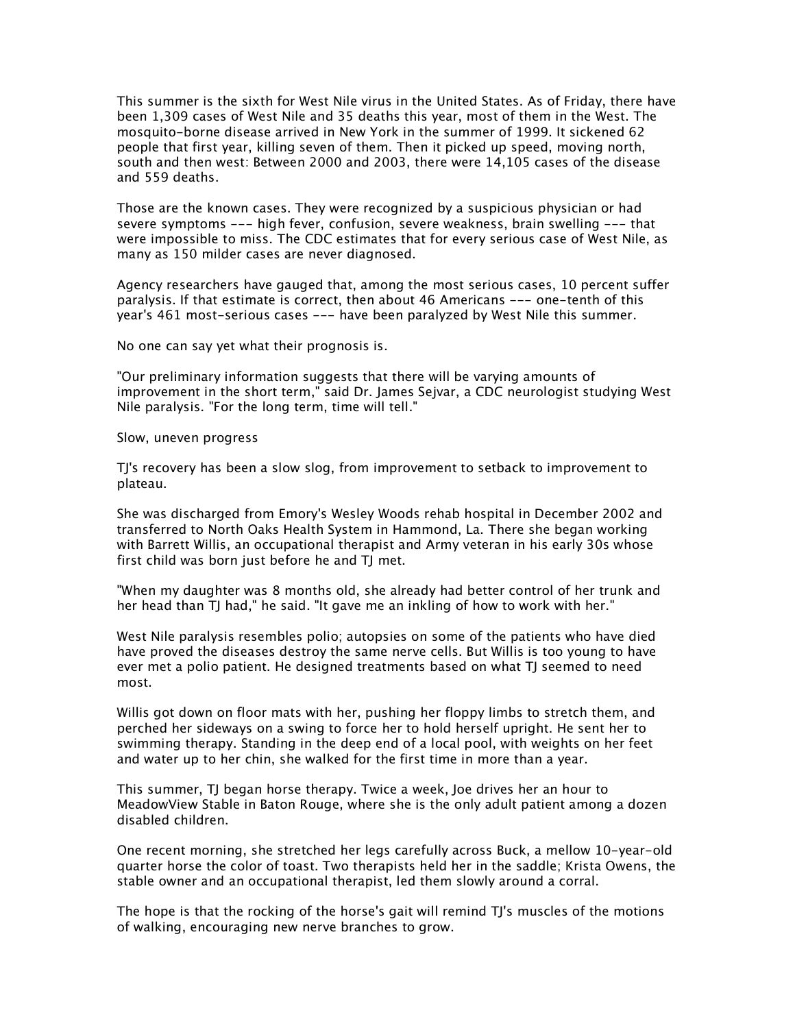*This summer is the sixth for West Nile virus in the United States. As of Friday, there have been 1,309 cases of West Nile and 35 deaths this year, most of them in the West. The mosquito-borne disease arrived in New York in the summer of 1999. It sickened 62 people that first year, killing seven of them. Then it picked up speed, moving north, south and then west: Between 2000 and 2003, there were 14,105 cases of the disease and 559 deaths.*

*Those are the known cases. They were recognized by a suspicious physician or had severe symptoms --- high fever, confusion, severe weakness, brain swelling --- that were impossible to miss. The CDC estimates that for every serious case of West Nile, as many as 150 milder cases are never diagnosed.*

*Agency researchers have gauged that, among the most serious cases, 10 percent suffer paralysis. If that estimate is correct, then about 46 Americans --- one-tenth of this year's 461 most-serious cases --- have been paralyzed by West Nile this summer.*

*No one can say yet what their prognosis is.*

*"Our preliminary information suggests that there will be varying amounts of improvement in the short term," said Dr. James Sejvar, a CDC neurologist studying West Nile paralysis. "For the long term, time will tell."*

*Slow, uneven progress*

*TJ's recovery has been a slow slog, from improvement to setback to improvement to plateau.*

*She was discharged from Emory's Wesley Woods rehab hospital in December 2002 and transferred to North Oaks Health System in Hammond, La. There she began working with Barrett Willis, an occupational therapist and Army veteran in his early 30s whose first child was born just before he and TJ met.*

*"When my daughter was 8 months old, she already had better control of her trunk and her head than TJ had," he said. "It gave me an inkling of how to work with her."*

*West Nile paralysis resembles polio; autopsies on some of the patients who have died have proved the diseases destroy the same nerve cells. But Willis is too young to have ever met a polio patient. He designed treatments based on what TJ seemed to need most.*

*Willis got down on floor mats with her, pushing her floppy limbs to stretch them, and perched her sideways on a swing to force her to hold herself upright. He sent her to swimming therapy. Standing in the deep end of a local pool, with weights on her feet and water up to her chin, she walked for the first time in more than a year.*

*This summer, TJ began horse therapy. Twice a week, Joe drives her an hour to MeadowView Stable in Baton Rouge, where she is the only adult patient among a dozen disabled children.*

*One recent morning, she stretched her legs carefully across Buck, a mellow 10-year-old quarter horse the color of toast. Two therapists held her in the saddle; Krista Owens, the stable owner and an occupational therapist, led them slowly around a corral.*

*The hope is that the rocking of the horse's gait will remind TJ's muscles of the motions of walking, encouraging new nerve branches to grow.*